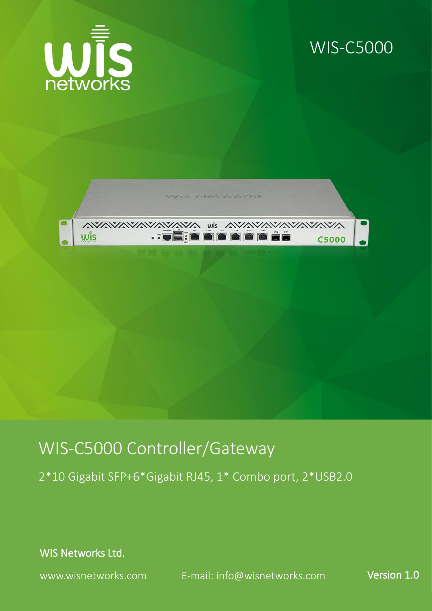

### WIS-C5000



## WIS-C5000 Controller/Gateway

2\*10 Gigabit SFP+6\*Gigabit RJ45, 1\* Combo port, 2\*USB2.0

WIS Networks Ltd.

www.wisnetworks.com E-mail: [info@wisnetworks.com](mailto:info@wisnetworks.com) Version 1.0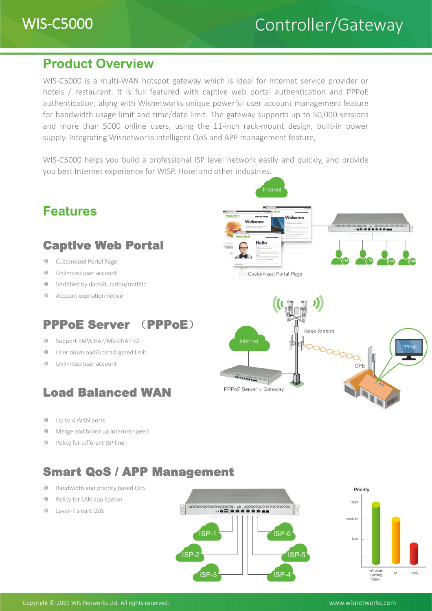#### **Product Overview**

WIS-C5000 is a multi-WAN hotspot gateway which is ideal for Internet service provider or hotels / restaurant. It is full featured with captive web portal authentication and PPPoE authentication, along with Wisnetworks unique powerful user account management feature for bandwidth usage limit and time/date limit. The gateway supports up to 50,000 sessions and more than 5000 online users, using the 11-inch rack-mount design, built-in power supply. Integrating Wisnetworks intelligent QoS and APP management feature,

WIS-C5000 helps you build a professional ISP level network easily and quickly, and provide you best Internet experience for WISP, Hotel and other industries.



#### Smart QoS / APP Management

- ❆ Bandwidth and priority based QoS
- ❆ Policy for LAN application
- ❆ Layer-7 smart QoS





Copyright © 2021 WIS Networks Ltd. All rights reserved. www.wisnetworks.com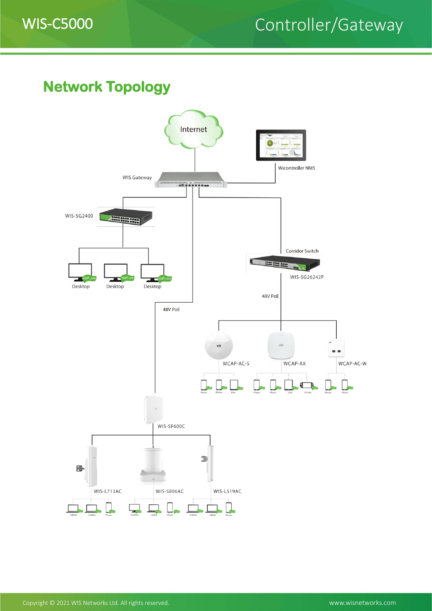# WIS-C5000 Controller/Gateway

#### **Network Topology**

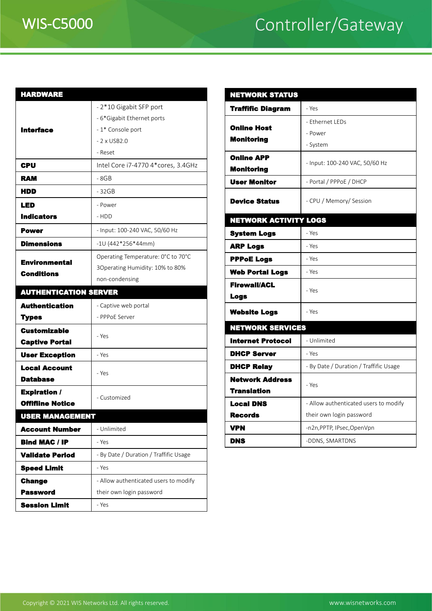# WIS-C5000 Controller/Gateway

| <b>HARDWARE</b>                           |                                        | <b>NETWORKS</b>      |  |  |
|-------------------------------------------|----------------------------------------|----------------------|--|--|
| <b>Interface</b>                          | - 2*10 Gigabit SFP port                | <b>Traffific Dia</b> |  |  |
|                                           | - 6*Gigabit Ethernet ports             |                      |  |  |
|                                           | - 1* Console port                      | <b>Online Host</b>   |  |  |
|                                           | $-2 \times$ USB2.0                     | <b>Monitoring</b>    |  |  |
|                                           | - Reset                                | <b>Online APP</b>    |  |  |
| CPU                                       | Intel Core i7-4770 4*cores, 3.4GHz     | <b>Monitoring</b>    |  |  |
| <b>RAM</b>                                | - 8GB                                  | <b>User Monito</b>   |  |  |
| HDD                                       | - 32GB                                 |                      |  |  |
| <b>LED</b>                                | - Power                                | <b>Device State</b>  |  |  |
| <b>Indicators</b>                         | - HDD                                  | <b>NETWORK A</b>     |  |  |
| <b>Power</b>                              | - Input: 100-240 VAC, 50/60 Hz         | <b>System Logs</b>   |  |  |
| <b>Dimensions</b>                         | $-10(442*256*44mm)$                    | <b>ARP Logs</b>      |  |  |
|                                           | Operating Temperature: 0°C to 70°C     | <b>PPPoE Logs</b>    |  |  |
| <b>Environmental</b><br><b>Conditions</b> | 3Operating Humidity: 10% to 80%        | <b>Web Portal</b>    |  |  |
|                                           | non-condensing                         | <b>Firewall/ACI</b>  |  |  |
| <b>AUTHENTICATION SERVER</b>              |                                        | <b>Logs</b>          |  |  |
| <b>Authentication</b>                     | - Captive web portal                   |                      |  |  |
| <b>Types</b>                              | - PPPoE Server                         | <b>Website Log</b>   |  |  |
| <b>Customizable</b>                       | - Yes                                  | <b>NETWORKS</b>      |  |  |
| <b>Captive Portal</b>                     |                                        | <b>Internet Pro</b>  |  |  |
| <b>User Exception</b>                     | - Yes                                  | <b>DHCP Serve</b>    |  |  |
| <b>Local Account</b>                      | - Yes                                  | <b>DHCP Relay</b>    |  |  |
| <b>Database</b>                           |                                        | <b>Network Ad</b>    |  |  |
| <b>Expiration /</b>                       | - Customized                           | <b>Translation</b>   |  |  |
|                                           | <b>Offifiine Notice</b>                |                      |  |  |
| <b>USER MANAGEMENT</b>                    |                                        | <b>Records</b>       |  |  |
| <b>Account Number</b>                     | - Unlimited                            | <b>VPN</b>           |  |  |
| <b>Bind MAC / IP</b>                      | - Yes                                  | <b>DNS</b>           |  |  |
| <b>Validate Period</b>                    | - By Date / Duration / Traffific Usage |                      |  |  |
| <b>Speed Limit</b>                        | - Yes                                  |                      |  |  |
| <b>Change</b>                             | - Allow authenticated users to modify  |                      |  |  |
| <b>Password</b>                           | their own login password               |                      |  |  |
| <b>Session Limit</b>                      | - Yes                                  |                      |  |  |
|                                           |                                        |                      |  |  |

| <b>NETWORK STATUS</b>                  |                                        |  |  |  |
|----------------------------------------|----------------------------------------|--|--|--|
| <b>Traffific Diagram</b>               | - Yes                                  |  |  |  |
|                                        | - Ethernet LEDs                        |  |  |  |
| <b>Online Host</b>                     | - Power                                |  |  |  |
| <b>Monitoring</b>                      | - System                               |  |  |  |
| <b>Online APP</b><br><b>Monitoring</b> | - Input: 100-240 VAC, 50/60 Hz         |  |  |  |
| <b>User Monitor</b>                    | - Portal / PPPoE / DHCP                |  |  |  |
| <b>Device Status</b>                   | - CPU / Memory/ Session                |  |  |  |
| <b>NETWORK ACTIVITY LOGS</b>           |                                        |  |  |  |
| <b>System Logs</b>                     | - Yes                                  |  |  |  |
| <b>ARP Logs</b>                        | - Yes                                  |  |  |  |
| <b>PPPoE Logs</b>                      | - Yes                                  |  |  |  |
| <b>Web Portal Logs</b>                 | - Yes                                  |  |  |  |
| <b>Firewall/ACL</b><br><b>Logs</b>     | - Yes                                  |  |  |  |
| <b>Website Logs</b>                    | - Yes                                  |  |  |  |
| <b>NETWORK SERVICES</b>                |                                        |  |  |  |
| <b>Internet Protocol</b>               | - Unlimited                            |  |  |  |
| <b>DHCP Server</b>                     | - Yes                                  |  |  |  |
| <b>DHCP Relay</b>                      | - By Date / Duration / Traffific Usage |  |  |  |
| <b>Network Address</b>                 | - Yes                                  |  |  |  |
| <b>Translation</b>                     |                                        |  |  |  |
| <b>Local DNS</b>                       | - Allow authenticated users to modify  |  |  |  |
| <b>Records</b>                         | their own login password               |  |  |  |
| <b>VPN</b>                             | -n2n, PPTP, IPsec, OpenVpn             |  |  |  |
| <b>DNS</b>                             | -DDNS, SMARTDNS                        |  |  |  |